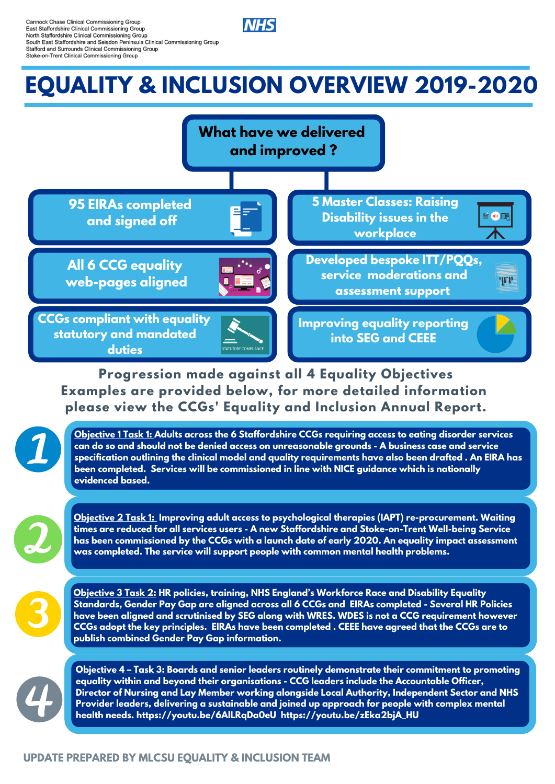

**Cannock Chase Clinical Commissioning Group** East Staffordshire Clinical Commissioning Group North Staffordshire Clinical Commissioning Group South East Staffordshire and Seisdon Peninsula Clinical Commissioning Group Stafford and Surrounds Clinical Commissioning Group Stoke-on-Trent Clinical Commissioning Group

# **EQUALITY & INCLUSION OVERVIEW 2019-2020**

**TEXT HERE**



 **Progression made against all 4 Equality Objectives Examples are provided below, for more detailed information please view the CCGs' Equality and Inclusion Annual Report.**



#### **UPDATE PREPARED BY MLCSU EQUALITY & INCLUSION TEAM**

 **Objective 2 Task 1: Improving adult access to psychological therapies (IAPT) re-procurement. Waiting times are reduced for all services users - A new Staffordshire and Stoke-on-Trent Well-being Service** has been commissioned by the CCGs with a launch date of early 2020. An equality impact assessment  **was completed. The service will support people with common mental health problems.**



 **Objective 3 Task 2: HR policies, training, NHS England's Workforce Race and Disability Equality Standards, Gender Pay Gap are aligned across all 6 CCGs and EIRAs completed - Several HR Policies have been aligned and scrutinised by SEG along with WRES. WDES is not a CCG requirement however** CCGs adopt the key principles. EIRAs have been completed . CEEE have agreed that the CCGs are to  **publish combined Gender Pay Gap information.**



 **Objective 1 Task 1: Adults across the 6 Staffordshire CCGs requiring access to eating disorder services can do so and should not be denied access on unreasonable grounds - A business case and service** specification outlining the clinical model and quality requirements have also been drafted . An EIRA has  **been completed. Services will be commissioned in line with NICE guidance which is nationally evidenced based.**



 **Objective 4 – Task 3: Boards and senior leaders routinely demonstrate their commitment to promoting equality within and beyond their organisations - CCG leaders include the Accountable Officer, Director of Nursing and Lay Member working alongside Local Authority, Independent Sector and NHS Provider leaders, delivering a sustainable and joined up approach for people with complex mental health needs. https://youtu.be/6AlLRqDa0eU https://youtu.be/zEka2bjA\_HU**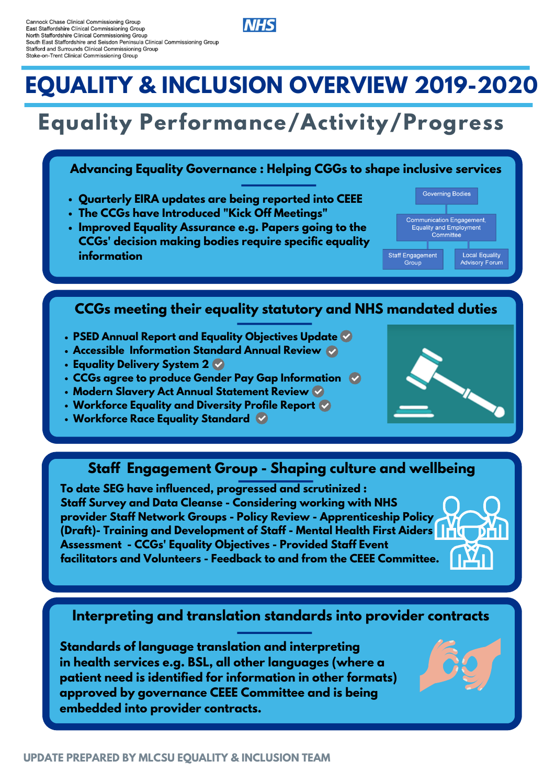

Cannock Chase Clinical Commissioning Group East Staffordshire Clinical Commissioning Group North Staffordshire Clinical Commissioning Group South East Staffordshire and Seisdon Peninsula Clinical Commissioning Group Stafford and Surrounds Clinical Commissioning Group Stoke-on-Trent Clinical Commissioning Group

# **EQUALITY & INCLUSION OVERVIEW 2019-2020**

# **Equality Performance/Activity/Progress**

 **Standards of language translation and interpreting in health services e.g. BSL, all other languages (where a patient need is identified for information in other formats) approved by governance CEEE Committee and is being embedded into provider contracts.**



#### **Interpreting and translation standards into provider contracts**

 **To date SEG have influenced, progressed and scrutinized : Staff Survey and Data Cleanse - Considering working with NHS provider Staff Network Groups - Policy Review - Apprenticeship Policy (Draft)- Training and Development of Staff - Mental Health First Aiders Assessment - CCGs' Equality Objectives - Provided Staff Event facilitators and Volunteers - Feedback to and from the CEEE Committee.**

### **Staff Engagement Group - Shaping culture and wellbeing**

- **PSED Annual Report and Equality Objectives Update**
- **Accessible Information Standard Annual Review**
- **Equality Delivery System 2**
- **CCGs agree to produce Gender Pay Gap Information**
- **Modern Slavery Act Annual Statement Review**
- **Workforce Equality and Diversity Profile Report**
- 



 **Workforce Race Equality Standard**

## **CCGs meeting their equality statutory and NHS mandated duties**

- **Quarterly EIRA updates are being reported into CEEE**
- **The CCGs have Introduced "Kick Off Meetings"**
- **Improved Equality Assurance e.g. Papers going to the CCGs' decision making bodies require specific equality information**



#### **Advancing Equality Governance : Helping CGGs to shape inclusive services**